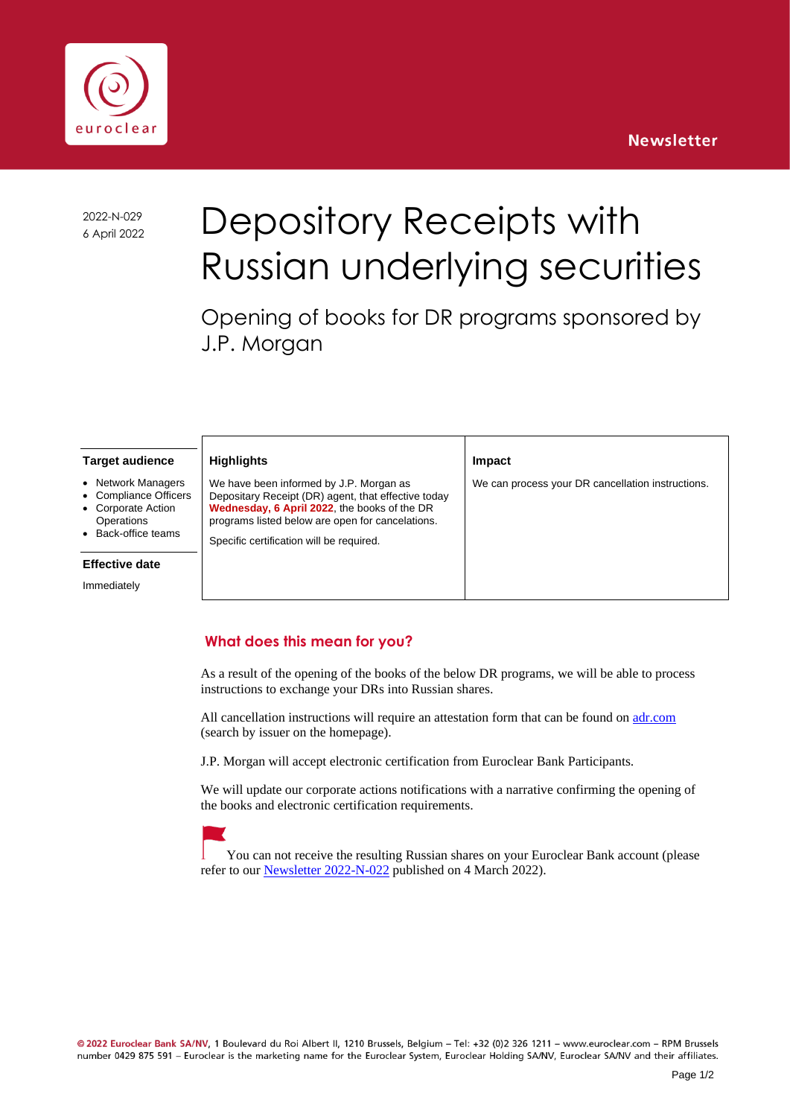



2022-N-029

# 2022-N-029 Depository Receipts with Russian underlying securities

Opening of books for DR programs sponsored by J.P. Morgan

**Impact**

We can process your DR cancellation instructions.

#### **Target audience**

- **Network Managers**
- Compliance Officers
- Corporate Action
- **Operations** • Back-office teams

#### **Effective date**

Immediately

# **Highlights**

We have been informed by J.P. Morgan as Depositary Receipt (DR) agent, that effective today **Wednesday, 6 April 2022**, the books of the DR programs listed below are open for cancelations.

Specific certification will be required.

### **What does this mean for you?**

As a result of the opening of the books of the below DR programs, we will be able to process instructions to exchange your DRs into Russian shares.

All cancellation instructions will require an attestation form that can be found on [adr.com](https://adr.com/) (search by issuer on the homepage).

J.P. Morgan will accept electronic certification from Euroclear Bank Participants.

We will update our corporate actions notifications with a narrative confirming the opening of the books and electronic certification requirements.

You can not receive the resulting Russian shares on your Euroclear Bank account (please refer to our **Newsletter 2022-N-022** published on 4 March 2022).